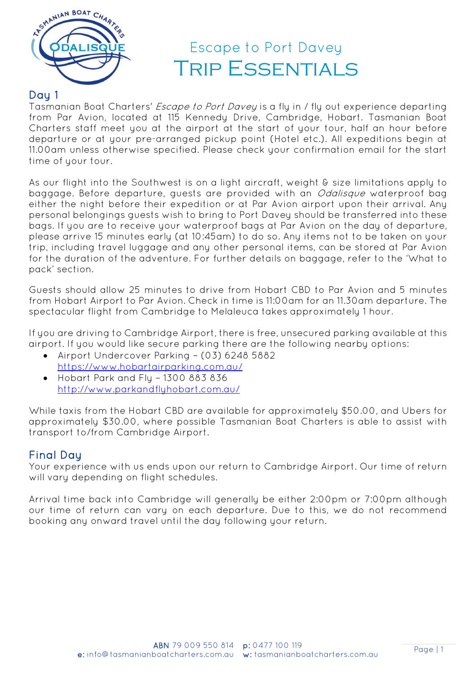

## Day 1

Tasmanian Boat Charters' Escape to Port Davey is a fly in / fly out experience departing from Par Avion, located at 115 Kennedy Drive, Cambridge, Hobart. Tasmanian Boat Charters staff meet you at the airport at the start of your tour, half an hour before departure or at your pre-arranged pickup point (Hotel etc.). All expeditions begin at 11.00am unless otherwise specified. Please check your confirmation email for the start time of your tour.

As our flight into the Southwest is on a light aircraft, weight & size limitations apply to baggage. Before departure, guests are provided with an *Odalisque* waterproof bag either the night before their expedition or at Par Avion airport upon their arrival. Any personal belongings guests wish to bring to Port Davey should be transferred into these bags. If you are to receive your waterproof bags at Par Avion on the day of departure, please arrive 15 minutes early (at 10:45am) to do so. Any items not to be taken on your trip, including travel luggage and any other personal items, can be stored at Par Avion for the duration of the adventure. For further details on baggage, refer to the 'What to pack' section.

Guests should allow 25 minutes to drive from Hobart CBD to Par Avion and 5 minutes from Hobart Airport to Par Avion. Check in time is 11:00am for an 11.30am departure. The spectacular flight from Cambridge to Melaleuca takes approximately 1 hour.

If you are driving to Cambridge Airport, there is free, unsecured parking available at this airport. If you would like secure parking there are the following nearby options:

- Airport Undercover Parking (03) 6248 5882 <https://www.hobartairparking.com.au/>
- Hobart Park and Fly 1300 883 836 <http://www.parkandflyhobart.com.au/>

While taxis from the Hobart CBD are available for approximately \$50.00, and Ubers for approximately \$30.00, where possible Tasmanian Boat Charters is able to assist with transport to/from Cambridge Airport.

# Final Day

Your experience with us ends upon our return to Cambridge Airport. Our time of return will vary depending on flight schedules.

Arrival time back into Cambridge will generally be either 2:00pm or 7:00pm although our time of return can vary on each departure. Due to this, we do not recommend booking any onward travel until the day following your return.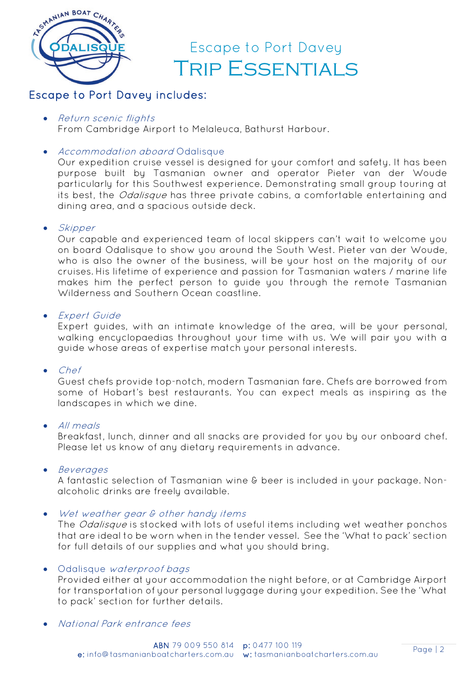

# Escape to Port Davey includes:

• Return scenic flights

From Cambridge Airport to Melaleuca, Bathurst Harbour.

• Accommodation aboard Odalisque

Our expedition cruise vessel is designed for your comfort and safety. It has been purpose built by Tasmanian owner and operator Pieter van der Woude particularly for this Southwest experience. Demonstrating small group touring at its best, the *Odalisque* has three private cabins, a comfortable entertaining and dining area, and a spacious outside deck.

• Skipper

Our capable and experienced team of local skippers can't wait to welcome you on board Odalisque to show you around the South West. Pieter van der Woude, who is also the owner of the business, will be your host on the majority of our cruises. His lifetime of experience and passion for Tasmanian waters / marine life makes him the perfect person to guide you through the remote Tasmanian Wilderness and Southern Ocean coastline.

• Expert Guide

Expert guides, with an intimate knowledge of the area, will be your personal, walking encyclopaedias throughout your time with us. We will pair you with a guide whose areas of expertise match your personal interests.

• Chef

Guest chefs provide top-notch, modern Tasmanian fare. Chefs are borrowed from some of Hobart's best restaurants. You can expect meals as inspiring as the landscapes in which we dine.

• All meals

Breakfast, lunch, dinner and all snacks are provided for you by our onboard chef. Please let us know of any dietary requirements in advance.

• Beverages

A fantastic selection of Tasmanian wine & beer is included in your package. Nonalcoholic drinks are freely available.

Wet weather gear & other handy items

The Odalisque is stocked with lots of useful items including wet weather ponchos that are ideal to be worn when in the tender vessel. See the 'What to pack' section for full details of our supplies and what you should bring.

## • Odalisque waterproof bags

Provided either at your accommodation the night before, or at Cambridge Airport for transportation of your personal luggage during your expedition. See the 'What to pack' section for further details.

• National Park entrance fees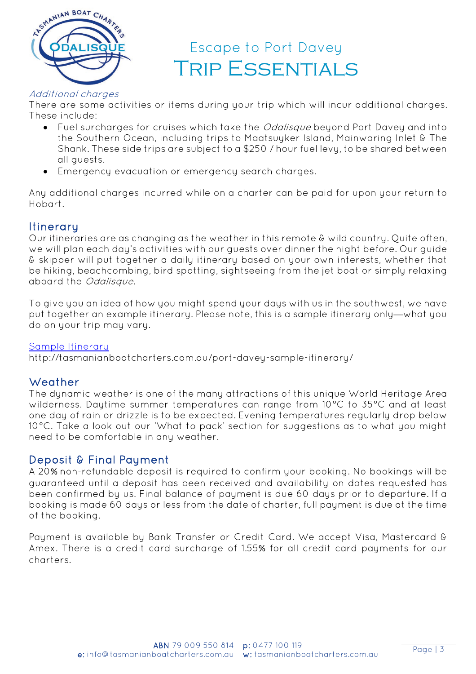

### Additional charges

There are some activities or items during your trip which will incur additional charges. These include:

- Fuel surcharges for cruises which take the *Odalisque* beyond Port Davey and into the Southern Ocean, including trips to Maatsuyker Island, Mainwaring Inlet & The Shank. These side trips are subject to a \$250 / hour fuel levy, to be shared between all guests.
- Emergency evacuation or emergency search charges.

Any additional charges incurred while on a charter can be paid for upon your return to Hobart.

# **Itinerary**

Our itineraries are as changing as the weather in this remote & wild country. Quite often, we will plan each day's activities with our guests over dinner the night before. Our guide & skipper will put together a daily itinerary based on your own interests, whether that be hiking, beachcombing, bird spotting, sightseeing from the jet boat or simply relaxing aboard the Odalisque.

To give you an idea of how you might spend your days with us in the southwest, we have put together an example itinerary. Please note, this is a sample itinerary only—what you do on your trip may vary.

### [Sample Itinerary](http://tasmanianboatcharters.com.au/port-davey-sample-itinerary/)

http://tasmanianboatcharters.com.au/port-davey-sample-itinerary/

## **Weather**

The dynamic weather is one of the many attractions of this unique World Heritage Area wilderness. Daytime summer temperatures can range from 10°C to 35°C and at least one day of rain or drizzle is to be expected. Evening temperatures regularly drop below 10°C. Take a look out our 'What to pack' section for suggestions as to what you might need to be comfortable in any weather.

## Deposit & Final Payment

A 20% non-refundable deposit is required to confirm your booking. No bookings will be guaranteed until a deposit has been received and availability on dates requested has been confirmed by us. Final balance of payment is due 60 days prior to departure. If a booking is made 60 days or less from the date of charter, full payment is due at the time of the booking.

Payment is available by Bank Transfer or Credit Card. We accept Visa, Mastercard & Amex. There is a credit card surcharge of 1.55% for all credit card payments for our charters.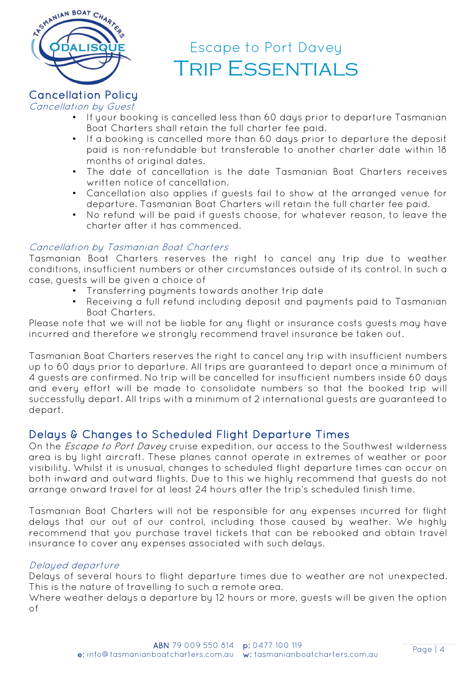

### Cancellation Policy Cancellation by Guest

- If your booking is cancelled less than 60 days prior to departure Tasmanian Boat Charters shall retain the full charter fee paid.
- If a booking is cancelled more than 60 days prior to departure the deposit paid is non-refundable but transferable to another charter date within 18 months of original dates.
- The date of cancellation is the date Tasmanian Boat Charters receives written notice of cancellation.
- Cancellation also applies if guests fail to show at the arranged venue for departure. Tasmanian Boat Charters will retain the full charter fee paid.
- No refund will be paid if guests choose, for whatever reason, to leave the charter after it has commenced.

## Cancellation by Tasmanian Boat Charters

Tasmanian Boat Charters reserves the right to cancel any trip due to weather conditions, insufficient numbers or other circumstances outside of its control. In such a case, guests will be given a choice of

- Transferring payments towards another trip date
- Receiving a full refund including deposit and payments paid to Tasmanian Boat Charters.

Please note that we will not be liable for any flight or insurance costs guests may have incurred and therefore we strongly recommend travel insurance be taken out.

Tasmanian Boat Charters reserves the right to cancel any trip with insufficient numbers up to 60 days prior to departure. All trips are guaranteed to depart once a minimum of 4 guests are confirmed. No trip will be cancelled for insufficient numbers inside 60 days and every effort will be made to consolidate numbers so that the booked trip will successfully depart. All trips with a minimum of 2 international guests are guaranteed to depart.

# Delays & Changes to Scheduled Flight Departure Times

On the Escape to Port Davey cruise expedition, our access to the Southwest wilderness area is by light aircraft. These planes cannot operate in extremes of weather or poor visibility. Whilst it is unusual, changes to scheduled flight departure times can occur on both inward and outward flights. Due to this we highly recommend that guests do not arrange onward travel for at least 24 hours after the trip's scheduled finish time.

Tasmanian Boat Charters will not be responsible for any expenses incurred for flight delays that our out of our control, including those caused by weather. We highly recommend that you purchase travel tickets that can be rebooked and obtain travel insurance to cover any expenses associated with such delays.

## Delayed departure

Delays of several hours to flight departure times due to weather are not unexpected. This is the nature of travelling to such a remote area.

Where weather delays a departure by 12 hours or more, guests will be given the option of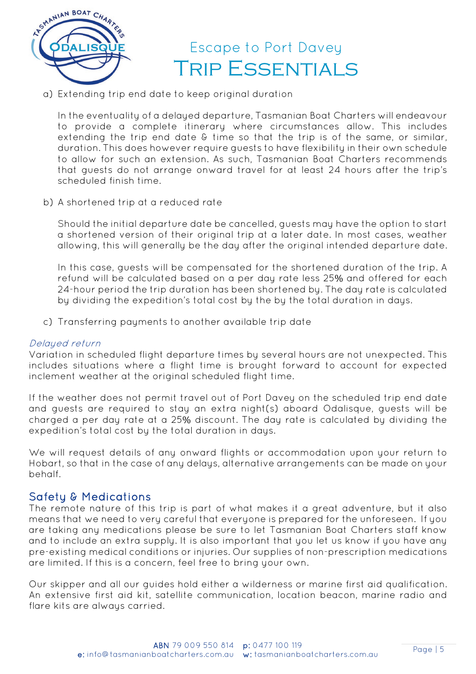

a) Extending trip end date to keep original duration

In the eventuality of a delayed departure, Tasmanian Boat Charters will endeavour to provide a complete itinerary where circumstances allow. This includes extending the trip end date & time so that the trip is of the same, or similar, duration. This does however require guests to have flexibility in their own schedule to allow for such an extension. As such, Tasmanian Boat Charters recommends that guests do not arrange onward travel for at least 24 hours after the trip's scheduled finish time.

b) A shortened trip at a reduced rate

Should the initial departure date be cancelled, guests may have the option to start a shortened version of their original trip at a later date. In most cases, weather allowing, this will generally be the day after the original intended departure date.

In this case, guests will be compensated for the shortened duration of the trip. A refund will be calculated based on a per day rate less 25% and offered for each 24-hour period the trip duration has been shortened by. The day rate is calculated by dividing the expedition's total cost by the by the total duration in days.

c) Transferring payments to another available trip date

### Delayed return

Variation in scheduled flight departure times by several hours are not unexpected. This includes situations where a flight time is brought forward to account for expected inclement weather at the original scheduled flight time.

If the weather does not permit travel out of Port Davey on the scheduled trip end date and guests are required to stay an extra night(s) aboard Odalisque, guests will be charged a per day rate at a 25% discount. The day rate is calculated by dividing the expedition's total cost by the total duration in days.

We will request details of any onward flights or accommodation upon your return to Hobart, so that in the case of any delays, alternative arrangements can be made on your behalf.

Safety & Medications<br>The remote nature of this trip is part of what makes it a great adventure, but it also means that we need to very careful that everyone is prepared for the unforeseen. If you are taking any medications please be sure to let Tasmanian Boat Charters staff know and to include an extra supply. It is also important that you let us know if you have any pre-existing medical conditions or injuries. Our supplies of non-prescription medications are limited. If this is a concern, feel free to bring your own.

Our skipper and all our guides hold either a wilderness or marine first aid qualification. An extensive first aid kit, satellite communication, location beacon, marine radio and flare kits are always carried.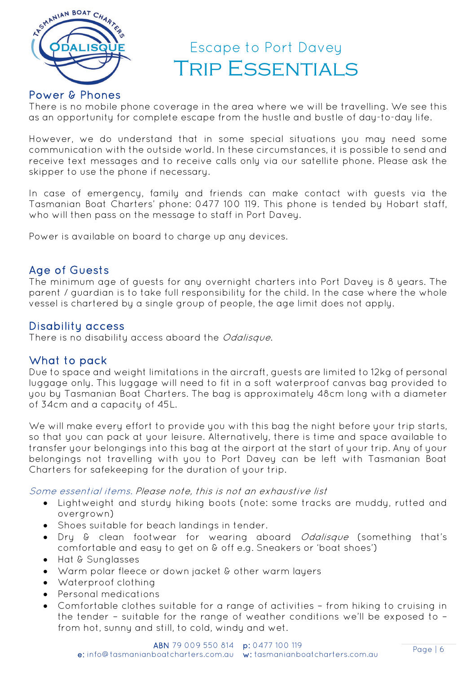

# Power & Phones

There is no mobile phone coverage in the area where we will be travelling. We see this as an opportunity for complete escape from the hustle and bustle of day-to-day life.

However, we do understand that in some special situations you may need some communication with the outside world. In these circumstances, it is possible to send and receive text messages and to receive calls only via our satellite phone. Please ask the skipper to use the phone if necessary.

In case of emergency, family and friends can make contact with guests via the Tasmanian Boat Charters' phone: 0477 100 119. This phone is tended by Hobart staff, who will then pass on the message to staff in Port Davey.

Power is available on board to charge up any devices.

Age of Guests<br>The minimum age of guests for any overnight charters into Port Davey is 8 years. The parent / guardian is to take full responsibility for the child. In the case where the whole vessel is chartered by a single group of people, the age limit does not apply.

Disability access<br>There is no disability access aboard the *Odalisque*.

What to pack<br>Due to space and weight limitations in the aircraft, guests are limited to 12kg of personal luggage only. This luggage will need to fit in a soft waterproof canvas bag provided to you by Tasmanian Boat Charters. The bag is approximately 48cm long with a diameter of 34cm and a capacity of 45L.

We will make every effort to provide you with this bag the night before your trip starts, so that you can pack at your leisure. Alternatively, there is time and space available to transfer your belongings into this bag at the airport at the start of your trip. Any of your belongings not travelling with you to Port Davey can be left with Tasmanian Boat Charters for safekeeping for the duration of your trip.

Some essential items. Please note, this is not an exhaustive list

- Lightweight and sturdy hiking boots (note: some tracks are muddy, rutted and overgrown)
- Shoes suitable for beach landings in tender.
- Dry & clean footwear for wearing aboard *Odalisque* (something that's comfortable and easy to get on & off e.g. Sneakers or 'boat shoes')
- Hat & Sunglasses
- Warm polar fleece or down jacket & other warm layers
- Waterproof clothing
- Personal medications
- Comfortable clothes suitable for a range of activities from hiking to cruising in the tender – suitable for the range of weather conditions we'll be exposed to – from hot, sunny and still, to cold, windy and wet.